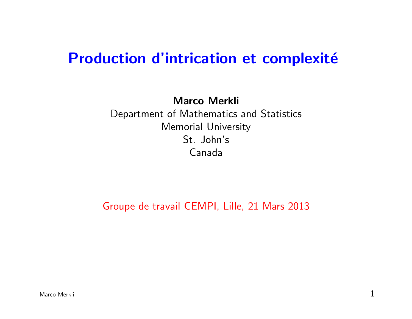# Production d'intrication et complexité

Marco Merkli Department of Mathematics and Statistics Memorial University St. John's Canada

Groupe de travail CEMPI, Lille, 21 Mars 2013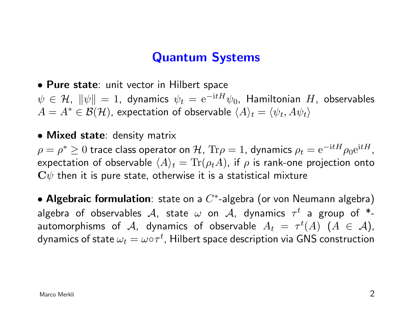## Quantum Systems

• Pure state: unit vector in Hilbert space

 $\psi \in \mathcal{H}$ ,  $\|\psi\| = 1$ , dynamics  $\psi_t = e^{-\mathrm{i}tH}\psi_0$ , Hamiltonian  $H$ , observables  $A = A^* \in \mathcal{B}(\mathcal{H})$ , expectation of observable  $\langle A \rangle_t = \langle \psi_t, A \psi_t \rangle$ 

• Mixed state: density matrix

 $\rho=\rho^*\geq 0$  trace class operator on  ${\cal H}$ ,  ${\rm Tr}\rho=1$ , dynamics  $\rho_t={\rm e}^{-{\rm i} tH}\rho_0{\rm e}^{{\rm i} tH}$ , expectation of observable  $\langle A \rangle_t = \text{Tr}(\rho_t A)$ , if  $\rho$  is rank-one projection onto  $C\psi$  then it is pure state, otherwise it is a statistical mixture

• Algebraic formulation: state on a  $C^*$ -algebra (or von Neumann algebra) algebra of observables  ${\cal A},$  state  $\omega$  on  ${\cal A},$  dynamics  $\tau^t$  a group of  $^*$ automorphisms of  $\mathcal{A}$ , dynamics of observable  $A_t = \tau^t(A)$   $(A \in \mathcal{A})$ , dynamics of state  $\omega_t = \omega {\circ} \tau^t$ , Hilbert space description via GNS construction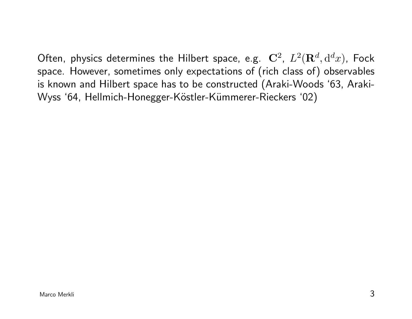Often, physics determines the Hilbert space, e.g.  ${\bf C}^2$ ,  $L^2({\bf R}^d,{\rm d}^dx)$ , Fock space. However, sometimes only expectations of (rich class of) observables is known and Hilbert space has to be constructed (Araki-Woods '63, Araki-Wyss '64, Hellmich-Honegger-Köstler-Kümmerer-Rieckers '02)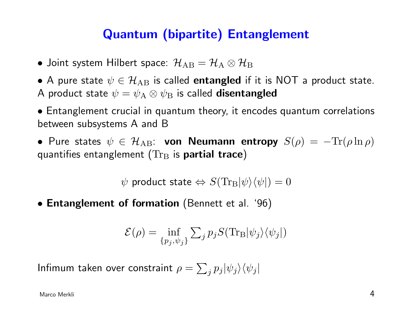# Quantum (bipartite) Entanglement

- Joint system Hilbert space:  $\mathcal{H}_{AB} = \mathcal{H}_{A} \otimes \mathcal{H}_{B}$
- A pure state  $\psi \in {\cal H}_{\rm AB}$  is called entangled if it is NOT a product state. A product state  $\psi = \psi_A \otimes \psi_B$  is called **disentangled**

• Entanglement crucial in quantum theory, it encodes quantum correlations between subsystems A and B

• Pure states  $\psi \in \mathcal{H}_{AB}$ : von Neumann entropy  $S(\rho) = -\text{Tr}(\rho \ln \rho)$ quantifies entanglement ( $Tr_B$  is **partial trace**)

 $\psi$  product state  $\Leftrightarrow S(\text{Tr}_{\text{B}}|\psi\rangle\langle\psi|) = 0$ 

• Entanglement of formation (Bennett et al. '96)

$$
\mathcal{E}(\rho) = \inf_{\{p_j, \psi_j\}} \sum_j p_j S(\text{Tr}_{\text{B}} |\psi_j\rangle \langle \psi_j|)
$$

Infimum taken over constraint  $\rho = \sum_j p_j |\psi_j\rangle\langle\psi_j|$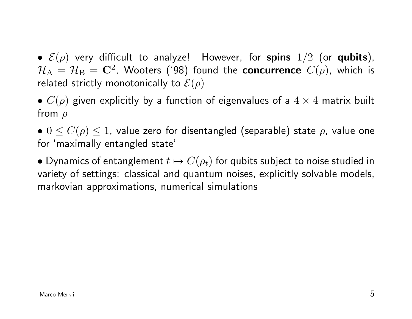•  $\mathcal{E}(\rho)$  very difficult to analyze! However, for spins  $1/2$  (or qubits),  $\mathcal{H}_\mathrm{A} \,=\, \mathcal{H}_\mathrm{B} \,=\, \mathbf{C}^2$ , Wooters ('98) found the concurrence  $C(\rho)$ , which is related strictly monotonically to  $\mathcal{E}(\rho)$ 

•  $C(\rho)$  given explicitly by a function of eigenvalues of a  $4 \times 4$  matrix built from  $\rho$ 

•  $0 \leq C(\rho) \leq 1$ , value zero for disentangled (separable) state  $\rho$ , value one for 'maximally entangled state'

• Dynamics of entanglement  $t \mapsto C(\rho_t)$  for qubits subject to noise studied in variety of settings: classical and quantum noises, explicitly solvable models, markovian approximations, numerical simulations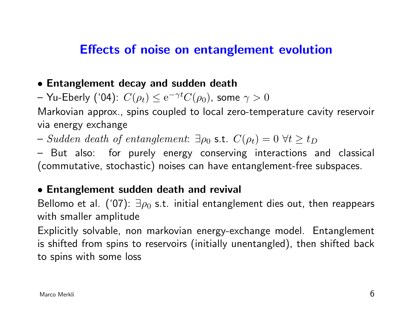## Effects of noise on entanglement evolution

#### • Entanglement decay and sudden death

– Yu-Eberly ('04):  $C(\rho_t) \leq \mathrm{e}^{-\gamma t} C(\rho_0)$ , some  $\gamma > 0$ 

Markovian approx., spins coupled to local zero-temperature cavity reservoir via energy exchange

– Sudden death of entanglement: ∃ $\rho_0$  s.t.  $C(\rho_t) = 0 \ \forall t \geq t_D$ 

– But also: for purely energy conserving interactions and classical (commutative, stochastic) noises can have entanglement-free subspaces.

#### • Entanglement sudden death and revival

Bellomo et al. ('07):  $\exists \rho_0$  s.t. initial entanglement dies out, then reappears with smaller amplitude

Explicitly solvable, non markovian energy-exchange model. Entanglement is shifted from spins to reservoirs (initially unentangled), then shifted back to spins with some loss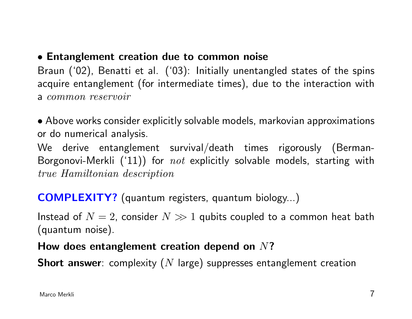## • Entanglement creation due to common noise

Braun ('02), Benatti et al. ('03): Initially unentangled states of the spins acquire entanglement (for intermediate times), due to the interaction with a common reservoir

• Above works consider explicitly solvable models, markovian approximations or do numerical analysis.

We derive entanglement survival/death times rigorously (Berman-Borgonovi-Merkli  $('11)$ ) for  $not$  explicitly solvable models, starting with true Hamiltonian description

COMPLEXITY? (quantum registers, quantum biology...)

Instead of  $N=2$ , consider  $N\gg 1$  qubits coupled to a common heat bath (quantum noise).

## How does entanglement creation depend on  $N$ ?

**Short answer**: complexity  $(N \text{ large})$  suppresses entanglement creation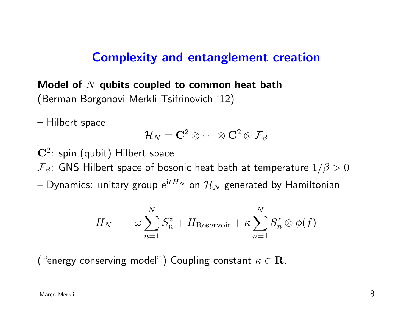## Complexity and entanglement creation

Model of  $N$  qubits coupled to common heat bath (Berman-Borgonovi-Merkli-Tsifrinovich '12)

– Hilbert space

$$
\mathcal{H}_N = \mathbf{C}^2 \otimes \cdots \otimes \mathbf{C}^2 \otimes \mathcal{F}_{\beta}
$$

 $\mathbf{C}^2$ : spin (qubit) Hilbert space

 $\mathcal{F}_{\beta}$ : GNS Hilbert space of bosonic heat bath at temperature  $1/\beta > 0$ 

— Dynamics: unitary group  $\mathrm{e}^{\mathrm{i} tH_N}$  on  $\mathcal{H}_N$  generated by Hamiltonian

$$
H_N = -\omega \sum_{n=1}^{N} S_n^z + H_{\text{Reservoir}} + \kappa \sum_{n=1}^{N} S_n^z \otimes \phi(f)
$$

("energy conserving model") Coupling constant  $\kappa \in \mathbf{R}$ .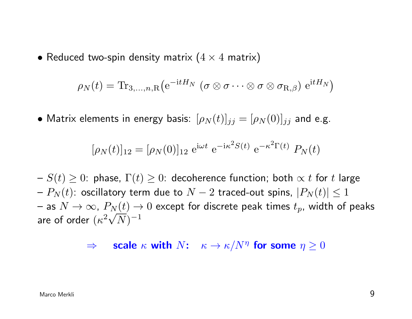• Reduced two-spin density matrix  $(4 \times 4$  matrix)

$$
\rho_N(t) = \text{Tr}_{3,\ldots,n,R}\big(e^{-\text{i}tH_N} \; (\sigma \otimes \sigma \cdots \otimes \sigma \otimes \sigma_{R,\beta}) \; e^{\text{i}tH_N}\big)
$$

• Matrix elements in energy basis:  $[\rho_N(t)]_{ij} = [\rho_N(0)]_{ij}$  and e.g.

$$
[\rho_N(t)]_{12} = [\rho_N(0)]_{12} e^{i\omega t} e^{-i\kappa^2 S(t)} e^{-\kappa^2 \Gamma(t)} P_N(t)
$$

 $f-S(t) \geq 0$ : phase,  $\Gamma(t) \geq 0$ : decoherence function; both  $\propto t$  for t large  $P_N(t)$ : oscillatory term due to  $N-2$  traced-out spins,  $|P_N(t)| \leq 1$  $\tau$  as  $N\to\infty$ ,  $P_N(t)\to 0$  except for discrete peak times  $t_p$ , width of peaks are of order  $(\kappa^2\sqrt{N})^{-1}$ 

 $\Rightarrow$  scale  $\kappa$  with  $N:$   $\kappa \to \kappa/N^{\eta}$  for some  $\eta \geq 0$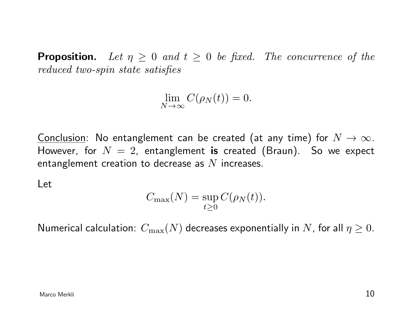**Proposition.** Let  $\eta \geq 0$  and  $t \geq 0$  be fixed. The concurrence of the reduced two-spin state satisfies

$$
\lim_{N \to \infty} C(\rho_N(t)) = 0.
$$

Conclusion: No entanglement can be created (at any time) for  $N \to \infty$ . However, for  $N = 2$ , entanglement is created (Braun). So we expect entanglement creation to decrease as  $N$  increases.

Let

$$
C_{\max}(N) = \sup_{t \ge 0} C(\rho_N(t)).
$$

Numerical calculation:  $C_{\text{max}}(N)$  decreases exponentially in N, for all  $\eta \geq 0$ .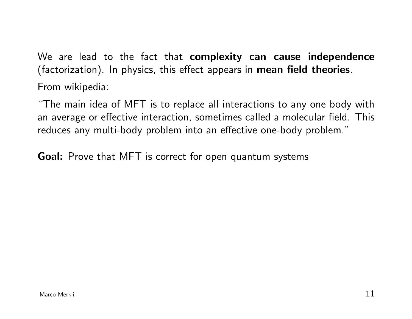We are lead to the fact that complexity can cause independence (factorization). In physics, this effect appears in mean field theories. From wikipedia:

"The main idea of MFT is to replace all interactions to any one body with an average or effective interaction, sometimes called a molecular field. This reduces any multi-body problem into an effective one-body problem."

Goal: Prove that MFT is correct for open quantum systems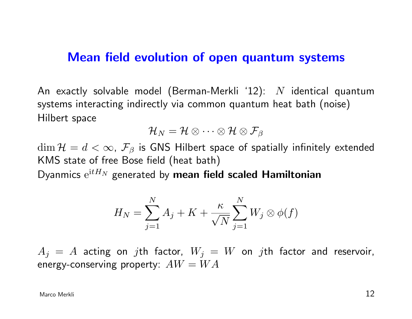## Mean field evolution of open quantum systems

An exactly solvable model (Berman-Merkli '12):  $N$  identical quantum systems interacting indirectly via common quantum heat bath (noise) Hilbert space

$$
\mathcal{H}_N=\mathcal{H}\otimes\cdots\otimes\mathcal{H}\otimes\mathcal{F}_\beta
$$

 $\dim \mathcal{H} = d < \infty$ ,  $\mathcal{F}_{\beta}$  is GNS Hilbert space of spatially infinitely extended KMS state of free Bose field (heat bath)

Dyanmics  $e^{itH_N}$  generated by mean field scaled Hamiltonian

$$
H_N = \sum_{j=1}^N A_j + K + \frac{\kappa}{\sqrt{N}} \sum_{j=1}^N W_j \otimes \phi(f)
$$

 $A_j = A$  acting on jth factor,  $W_j = W$  on jth factor and reservoir, energy-conserving property:  $AW = WA$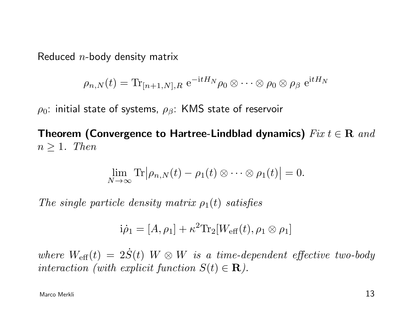Reduced  $n$ -body density matrix

$$
\rho_{n,N}(t) = \text{Tr}_{[n+1,N],R} e^{-\text{i}tH_N} \rho_0 \otimes \cdots \otimes \rho_0 \otimes \rho_\beta e^{\text{i}tH_N}
$$

 $\rho_0$ : initial state of systems,  $\rho_\beta$ : KMS state of reservoir

Theorem (Convergence to Hartree-Lindblad dynamics)  $Fix t \in \mathbf{R}$  and  $n \geq 1$ . Then

$$
\lim_{N\to\infty}\mathrm{Tr}\big|\rho_{n,N}(t)-\rho_1(t)\otimes\cdots\otimes\rho_1(t)\big|=0.
$$

The single particle density matrix  $\rho_1(t)$  satisfies

$$
i\dot{\rho}_1 = [A,\rho_1] + \kappa^2 \text{Tr}_2[W_{\text{eff}}(t),\rho_1 \otimes \rho_1]
$$

where  $W_{\text{eff}}(t) = 2\dot{S}(t)$  W  $\otimes$  W is a time-dependent effective two-body interaction (with explicit function  $S(t) \in \mathbf{R}$ ).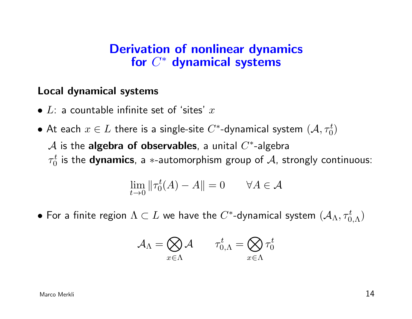## Derivation of nonlinear dynamics for  $C^*$  dynamical systems

#### Local dynamical systems

- $L$ : a countable infinite set of 'sites'  $x$
- $\bullet$  At each  $x\in L$  there is a single-site  $C^*$ -dynamical system  $(\mathcal{A},\tau_0^t)$  ${\mathcal A}$  is the algebra of observables, a unital  $C^*$ -algebra  $\tau_0^t$  $_0^t$  is the **dynamics**, a  $\ast$ -automorphism group of  ${\mathcal A}$ , strongly continuous:

$$
\lim_{t \to 0} \|\tau_0^t(A) - A\| = 0 \qquad \forall A \in \mathcal{A}
$$

 $\bullet$  For a finite region  $\Lambda\subset L$  we have the  $C^*$ -dynamical system  $(\mathcal{A}_\Lambda,\tau^t_{0,\Lambda})$ 

$$
\mathcal{A}_\Lambda = \bigotimes_{x \in \Lambda} \mathcal{A} \qquad \tau^t_{0,\Lambda} = \bigotimes_{x \in \Lambda} \tau^t_0
$$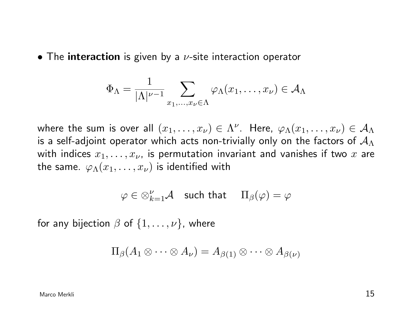• The interaction is given by a  $\nu$ -site interaction operator

$$
\Phi_{\Lambda} = \frac{1}{|\Lambda|^{\nu-1}} \sum_{x_1, \dots, x_{\nu} \in \Lambda} \varphi_{\Lambda}(x_1, \dots, x_{\nu}) \in \mathcal{A}_{\Lambda}
$$

where the sum is over all  $(x_1,\ldots,x_\nu)\in \Lambda^\nu.$  Here,  $\varphi_\Lambda(x_1,\ldots,x_\nu)\in \mathcal A_\Lambda$ is a self-adjoint operator which acts non-trivially only on the factors of  $\mathcal{A}_{\Lambda}$ with indices  $x_1, \ldots, x_{\nu}$ , is permutation invariant and vanishes if two  $x$  are the same.  $\varphi_{\Lambda}(x_1,\ldots,x_{\nu})$  is identified with

 $\varphi \in \otimes_{k=1}^{\nu}{\mathcal A} \quad \text{such that} \quad \Pi_{\beta}(\varphi) = \varphi$ 

for any bijection  $\beta$  of  $\{1, \ldots, \nu\}$ , where

$$
\Pi_{\beta}(A_1 \otimes \cdots \otimes A_{\nu}) = A_{\beta(1)} \otimes \cdots \otimes A_{\beta(\nu)}
$$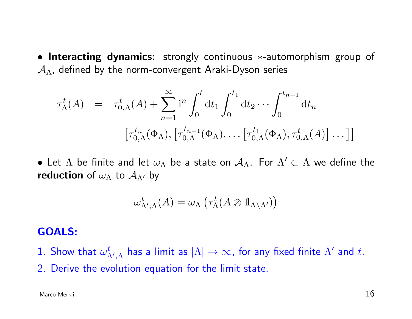• Interacting dynamics: strongly continuous ∗-automorphism group of  $A_{\Lambda}$ , defined by the norm-convergent Araki-Dyson series

$$
\tau_{\Lambda}^{t}(A) = \tau_{0,\Lambda}^{t}(A) + \sum_{n=1}^{\infty} i^{n} \int_{0}^{t} dt_{1} \int_{0}^{t_{1}} dt_{2} \cdots \int_{0}^{t_{n-1}} dt_{n}
$$

$$
[\tau_{0,\Lambda}^{t_{n}}(\Phi_{\Lambda}), [\tau_{0,\Lambda}^{t_{n-1}}(\Phi_{\Lambda}), \dots [\tau_{0,\Lambda}^{t_{1}}(\Phi_{\Lambda}), \tau_{0,\Lambda}^{t}(A)] \dots ]]
$$

 $\bullet$  Let  $\Lambda$  be finite and let  $\omega_\Lambda$  be a state on  $\mathcal{A}_\Lambda.$  For  $\Lambda'\subset \Lambda$  we define the reduction of  $\omega_{\Lambda}$  to  $\mathcal{A}_{\Lambda}$  by

$$
\omega^t_{\Lambda',\Lambda}(A)=\omega_\Lambda\left(\tau_\Lambda^t(A\otimes 1\!\!1_{\Lambda\setminus\Lambda'})\right)
$$

#### GOALS:

- 1. Show that  $\omega_A^t$  $_{\Lambda',\Lambda}^t$  has a limit as  $|\Lambda|\to\infty$ , for any fixed finite  $\Lambda'$  and  $t.$
- 2. Derive the evolution equation for the limit state.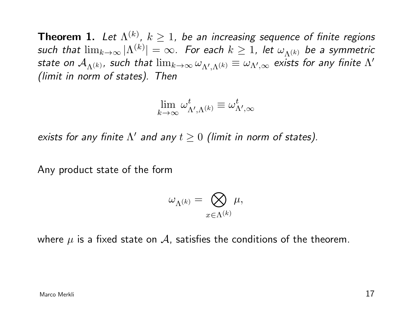**Theorem 1.** Let  $\Lambda^{(k)}$ ,  $k\geq 1$ , be an increasing sequence of finite regions such that  $\lim_{k\to\infty}|\Lambda^{(k)}|=\infty.$  For each  $k\geq 1$ , let  $\omega_{\Lambda^{(k)}}$  be a symmetric state on  ${\cal A}_{\Lambda^{(k)}},$  such that  $\lim_{k\to\infty}\omega_{\Lambda',\Lambda^{(k)}}\equiv\omega_{\Lambda',\infty}$  exists for any finite  $\Lambda'$ (limit in norm of states). Then

$$
\lim_{k \to \infty} \omega^t_{\Lambda', \Lambda^{(k)}} \equiv \omega^t_{\Lambda', \infty}
$$

exists for any finite  $\Lambda'$  and any  $t \geq 0$  (limit in norm of states).

Any product state of the form

$$
\omega_{\Lambda^{(k)}}=\bigotimes_{x\in\Lambda^{(k)}}\mu,
$$

where  $\mu$  is a fixed state on  $\mathcal A$ , satisfies the conditions of the theorem.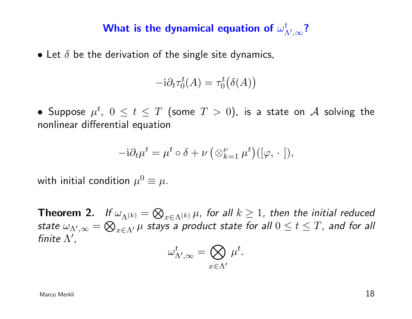#### What is the dynamical equation of  $\omega^t_{\Lambda}$  $^t_{\Lambda',\infty}$ ?

• Let  $\delta$  be the derivation of the single site dynamics,

$$
-i\partial_t \tau_0^t(A) = \tau_0^t(\delta(A))
$$

• Suppose  $\mu^t$ ,  $0 \leq t \leq T$  (some  $T > 0$ ), is a state on  ${\mathcal A}$  solving the nonlinear differential equation

$$
-{\rm i}\partial_t \mu^t = \mu^t \circ \delta + \nu \left( \otimes_{k=1}^{\nu} \mu^t \right) ([\varphi, \cdot]),
$$

with initial condition  $\mu^0\equiv\mu.$ 

**Theorem 2.** If  $\omega_{\Lambda^{(k)}} = \bigotimes_{x \in \Lambda^{(k)}} \mu$ , for all  $k \geq 1$ , then the initial reduced state  $\omega_{\Lambda',\infty}=\bigotimes_{x\in\Lambda'}\mu$  stays a product state for all  $0\leq t\leq T$ , and for all finite  $\Lambda'$ ,

$$
\omega^t_{\Lambda',\infty} = \bigotimes_{x \in \Lambda'} \mu^t.
$$